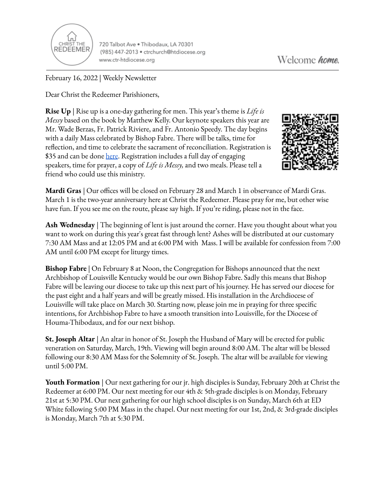

720 Talbot Ave . Thibodaux, LA 70301 (985) 447-2013 · ctrchurch@htdiocese.org www.ctr-htdiocese.org

February 16, 2022 | Weekly Newsletter

Dear Christ the Redeemer Parishioners,

**Rise Up** | Rise up is a one-day gathering for men. This year's theme is *Life is Messy* based on the book by Matthew Kelly. Our keynote speakers this year are Mr. Wade Berzas, Fr. Patrick Riviere, and Fr. Antonio Speedy. The day begins with a daily Mass celebrated by Bishop Fabre. There will be talks, time for reflection, and time to celebrate the sacrament of reconciliation. Registration is \$35 and can be done [here](https://giving.parishsoft.com/App/Form/72b71f4d-90be-49db-9e14-6fdf45ddbf08). Registration includes a full day of engaging speakers, time for prayer, a copy of *Life is Messy,* and two meals. Please tell a friend who could use this ministry.



**Mardi Gras** | Our offices will be closed on February 28 and March 1 in observance of Mardi Gras. March 1 is the two-year anniversary here at Christ the Redeemer. Please pray for me, but other wise have fun. If you see me on the route, please say high. If you're riding, please not in the face.

**Ash Wednesday** | The beginning of lent is just around the corner. Have you thought about what you want to work on during this year's great fast through lent? Ashes will be distributed at our customary 7:30 AM Mass and at 12:05 PM and at 6:00 PM with Mass. I will be available for confession from 7:00 AM until 6:00 PM except for liturgy times.

**Bishop Fabre** | On February 8 at Noon, the Congregation for Bishops announced that the next Archbishop of Louisville Kentucky would be our own Bishop Fabre. Sadly this means that Bishop Fabre will be leaving our diocese to take up this next part of his journey. He has served our diocese for the past eight and a half years and will be greatly missed. His installation in the Archdiocese of Louisville will take place on March 30. Starting now, please join me in praying for three specific intentions, for Archbishop Fabre to have a smooth transition into Louisville, for the Diocese of Houma-Thibodaux, and for our next bishop.

**St. Joseph Altar** | An altar in honor of St. Joseph the Husband of Mary will be erected for public veneration on Saturday, March, 19th. Viewing will begin around 8:00 AM. The altar will be blessed following our 8:30 AM Mass for the Solemnity of St. Joseph. The altar will be available for viewing until 5:00 PM.

**Youth Formation** | Our next gathering for our jr. high disciples is Sunday, February 20th at Christ the Redeemer at 6:00 PM. Our next meeting for our 4th & 5th-grade disciples is on Monday, February 21st at 5:30 PM. Our next gathering for our high school disciples is on Sunday, March 6th at ED White following 5:00 PM Mass in the chapel. Our next meeting for our 1st, 2nd, & 3rd-grade disciples is Monday, March 7th at 5:30 PM.